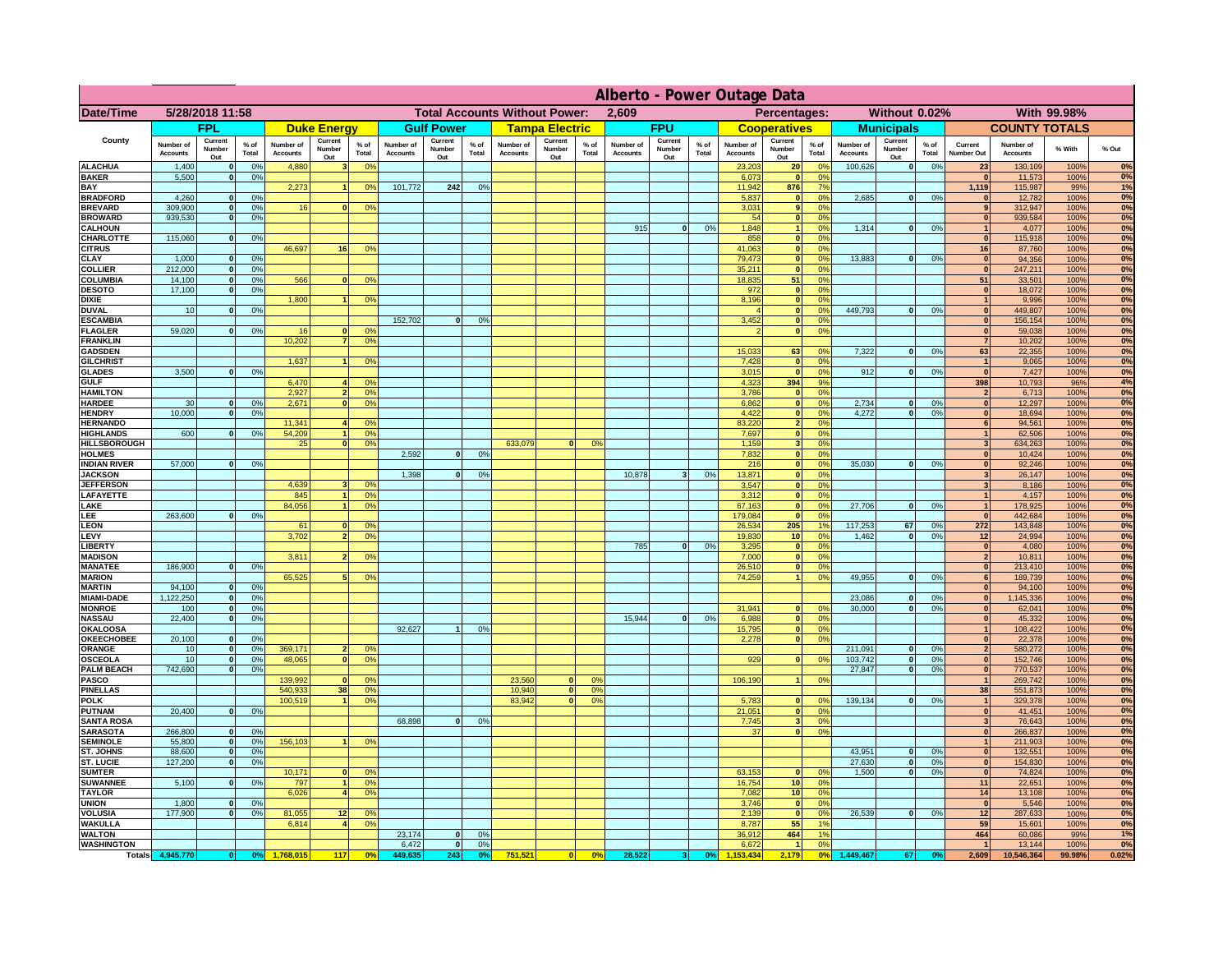|                                      | Alberto - Power Outage Data  |                              |                      |                              |                                 |                      |                                               |                          |                 |                              |                          |                                              |                              |                          |                |                              |                          |                                         |                              |                          |                 |                                  |                              |              |          |
|--------------------------------------|------------------------------|------------------------------|----------------------|------------------------------|---------------------------------|----------------------|-----------------------------------------------|--------------------------|-----------------|------------------------------|--------------------------|----------------------------------------------|------------------------------|--------------------------|----------------|------------------------------|--------------------------|-----------------------------------------|------------------------------|--------------------------|-----------------|----------------------------------|------------------------------|--------------|----------|
| Date/Time                            | 5/28/2018 11:58              |                              |                      |                              |                                 |                      | <b>Total Accounts Without Power:</b><br>2,609 |                          |                 |                              |                          | Percentages:<br>With 99.98%<br>Without 0.02% |                              |                          |                |                              |                          |                                         |                              |                          |                 |                                  |                              |              |          |
|                                      |                              | <b>FPL</b>                   |                      |                              | <b>Duke Energy</b>              |                      |                                               | <b>Gulf Power</b>        |                 |                              | <b>Tampa Electric</b>    |                                              |                              | <b>FPU</b>               |                |                              | <b>Cooperatives</b>      |                                         |                              | <b>Municipals</b>        |                 |                                  | <b>COUNTY TOTALS</b>         |              |          |
| County                               | Number of<br><b>Accounts</b> | Current<br>Number<br>Out     | $%$ of<br>Total      | Number of<br><b>Accounts</b> | Current<br><b>Number</b><br>Out | $%$ of<br>Total      | Number of<br><b>Accounts</b>                  | Current<br>Number<br>Out | $%$ of<br>Total | Number of<br><b>Accounts</b> | Current<br>Number<br>Out | $%$ of<br>Total                              | Number of<br><b>Accounts</b> | Current<br>Number<br>Out | % of<br>Total  | Number of<br><b>Accounts</b> | Current<br>Number<br>Out | $%$ of<br>Total                         | Number of<br><b>Accounts</b> | Current<br>Number<br>Out | $%$ of<br>Total | Current<br>Number Out            | Number of<br><b>Accounts</b> | % With       | % Out    |
| <b>ALACHUA</b>                       | 1,400                        | $\mathbf{0}$                 | 0%                   | 4,880                        |                                 | 0 <sup>9</sup>       |                                               |                          |                 |                              |                          |                                              |                              |                          |                | 23,203                       | 20 <sup>1</sup>          | $^{\circ}$                              | 100,626                      | 0                        | 0%              | ${\bf 23}$                       | 130,109                      | 100%         | 0%       |
| <b>BAKER</b><br>BAY                  | 5,500                        | $\mathbf{0}$                 | 0 <sup>9</sup>       | 2,273                        |                                 | 0%                   | 101,772                                       | 242                      | 0%              |                              |                          |                                              |                              |                          |                | 6,073<br>11,942              | $\mathbf{0}$<br>876      | 0 <sup>9</sup><br>7 <sup>9</sup>        |                              |                          |                 | $\mathbf{0}$<br>1,119            | 11,573<br>115,987            | 100%<br>99%  | 0%<br>1% |
| <b>BRADFORD</b>                      | 4,260                        | $\Omega$                     | 0%                   |                              |                                 |                      |                                               |                          |                 |                              |                          |                                              |                              |                          |                | 5,837                        | $\mathbf{0}$             | 0 <sup>9</sup>                          | 2,685                        | 0                        | 0%              | $\mathbf 0$                      | 12,782                       | 100%         | 0%       |
| <b>BREVARD</b><br><b>BROWARD</b>     | 309.900<br>939.530           | $\mathbf{0}$<br>$\mathbf{0}$ | 0 <sup>9</sup><br>0% | 16                           |                                 | 0 <sup>9</sup>       |                                               |                          |                 |                              |                          |                                              |                              |                          |                | 3.031<br>54                  | 9 <sup>1</sup>           | 0 <sup>9</sup><br>$\overline{0}$<br>0%  |                              |                          |                 | 9 <sup>1</sup><br> 0             | 312,947<br>939,584           | 100%<br>100% | 0%<br>0% |
| <b>CALHOUN</b>                       |                              |                              |                      |                              |                                 |                      |                                               |                          |                 |                              |                          |                                              | 915                          | 0                        | 0%             | 1,848                        | 1                        | 0%                                      | 1,314                        | 0                        | 0%              | $\mathbf{1}$                     | 4,077                        | 100%         | 0%       |
| CHARLOTTE                            | 115,060                      | $\mathbf{0}$                 | 0%                   |                              |                                 |                      |                                               |                          |                 |                              |                          |                                              |                              |                          |                | 858<br>41.063                | 0                        | 0%                                      |                              |                          |                 | 0                                | 115,918                      | 100%         | 0%<br>0% |
| <b>CITRUS</b><br>CLAY                | 1,000                        |                              | 0 <sup>9</sup>       | 46,697                       | 16                              | 0 <sup>9</sup>       |                                               |                          |                 |                              |                          |                                              |                              |                          |                | 79,473                       | 0 <br> 0                 | 0%<br>0%                                | 13,883                       | 0                        | 0%              | 16<br>$\bf{0}$                   | 87,760<br>94,356             | 100%<br>100% | 0%       |
| <b>COLLIER</b>                       | 212,000                      |                              | 0%                   |                              |                                 |                      |                                               |                          |                 |                              |                          |                                              |                              |                          |                | 35,211                       | 0                        | 0 <sup>9</sup>                          |                              |                          |                 | $\mathbf{0}$                     | 247,211                      | 100%         | 0%       |
| COLUMBIA<br><b>DESOTO</b>            | 14,100<br>17,100             |                              | 0%<br>0%             | 566                          |                                 | 0 <sup>o</sup>       |                                               |                          |                 |                              |                          |                                              |                              |                          |                | 18,835<br>972                | 51<br> 0                 | 0 <sup>9</sup><br>0 <sup>9</sup>        |                              |                          |                 | 51<br>$\mathbf{0}$               | 33,501<br>18,072             | 100%<br>100% | 0%<br>0% |
| <b>DIXIE</b>                         |                              |                              |                      | 1,800                        |                                 | 0 <sup>o</sup>       |                                               |                          |                 |                              |                          |                                              |                              |                          |                | 8,196                        | 0                        | 0 <sup>9</sup>                          |                              |                          |                 |                                  | 9,996                        | 100%         | 0%       |
| <b>DUVAL</b>                         | 10                           |                              | 0 <sup>9</sup>       |                              |                                 |                      |                                               |                          |                 |                              |                          |                                              |                              |                          |                |                              | 0                        | 0 <sup>o</sup>                          | 449,793                      | 0                        | 0%              | $\mathbf{0}$                     | 449,807                      | 100%         | 0%       |
| <b>ESCAMBIA</b><br><b>FLAGLER</b>    | 59,020                       | $\mathbf{0}$                 | 0 <sup>9</sup>       | 16                           |                                 | 0 <sup>9</sup>       | 152,702                                       | $\mathbf{0}$             | 0 <sup>9</sup>  |                              |                          |                                              |                              |                          |                | 3,452                        | $\mathbf{0}$<br> 0       | 0 <sup>o</sup><br>0 <sup>9</sup>        |                              |                          |                 | $\mathbf{0}$<br> 0               | 156,154<br>59,038            | 100%<br>100% | 0%<br>0% |
| <b>FRANKLIN</b>                      |                              |                              |                      | 10,202                       |                                 | 0 <sup>9</sup>       |                                               |                          |                 |                              |                          |                                              |                              |                          |                |                              |                          |                                         |                              |                          |                 | $\overline{7}$                   | 10,202                       | 100%         | 0%       |
| <b>GADSDEN</b>                       |                              |                              |                      |                              |                                 |                      |                                               |                          |                 |                              |                          |                                              |                              |                          |                | 15,033                       | 63                       | 0%                                      | 7,322                        | 0                        | 0%              | 63                               | 22,355                       | 100%         | 0%       |
| <b>GILCHRIST</b><br><b>GLADES</b>    | 3.500                        |                              | 0%                   | 1,637                        |                                 | 0 <sup>9</sup>       |                                               |                          |                 |                              |                          |                                              |                              |                          |                | 7,428<br>3,015               | 0 <br> 0                 | 0 <sup>9</sup><br>0%                    | 912                          | 0                        | 0%              | $\overline{1}$<br> 0             | 9,065<br>7,427               | 100%<br>100% | 0%<br>0% |
| <b>GULF</b>                          |                              |                              |                      | 6,470                        |                                 | 0 <sup>9</sup>       |                                               |                          |                 |                              |                          |                                              |                              |                          |                | 4,323                        | 394                      | 9%                                      |                              |                          |                 | 398                              | 10,793                       | 96%          | 4%       |
| <b>HAMILTON</b>                      |                              |                              |                      | 2,927                        |                                 | 0%                   |                                               |                          |                 |                              |                          |                                              |                              |                          |                | 3,786                        |                          | 0 <br>0%                                |                              |                          |                 | $\overline{2}$                   | 6,713                        | 100%         | 0%       |
| <b>HARDEE</b><br><b>HENDRY</b>       | 30<br>10,000                 | $\mathbf{0}$<br>$\Omega$     | 0%<br>0 <sup>9</sup> | 2,671                        |                                 | 0 <sup>9</sup>       |                                               |                          |                 |                              |                          |                                              |                              |                          |                | 6,862<br>4,422               |                          | 0 <br>0%<br> 0 <br>0%                   | 2,734<br>4.272               | $\mathbf{0}$<br> 0       | 0%<br>0%        | 0 <br> 0                         | 12,297<br>18,694             | 100%<br>100% | 0%<br>0% |
| <b>HERNANDO</b>                      |                              |                              |                      | 11,341                       |                                 | 0 <sup>o</sup>       |                                               |                          |                 |                              |                          |                                              |                              |                          |                | 83,220                       |                          | 2 <br>0 <sup>9</sup>                    |                              |                          |                 | 6                                | 94,561                       | 100%         | 0%       |
| <b>HIGHLANDS</b>                     | 600                          | $\Omega$                     | 0%                   | 54,209<br>25                 |                                 | 0%                   |                                               |                          |                 |                              | $\Omega$                 | 0 <sup>9</sup>                               |                              |                          |                | 7,697                        |                          | 0 <br>0 <sup>9</sup><br>0 <sup>9</sup>  |                              |                          |                 | 1<br>$\overline{3}$              | 62,506                       | 100%         | 0%<br>0% |
| <b>HILLSBOROUGH</b><br><b>HOLMES</b> |                              |                              |                      |                              |                                 | 0 <sup>9</sup>       | 2,592                                         | $\Omega$                 | 0 <sup>9</sup>  | 633,079                      |                          |                                              |                              |                          |                | 1,159<br>7,832               |                          | 3 <sup>1</sup><br> 0 <br>0 <sup>9</sup> |                              |                          |                 | $\mathbf{0}$                     | 634,263<br>10,424            | 100%<br>100% | 0%       |
| <b>INDIAN RIVER</b>                  | 57,000                       |                              | 0%                   |                              |                                 |                      |                                               |                          |                 |                              |                          |                                              |                              |                          |                | 216                          |                          | $\mathbf{0}$<br>0 <sup>9</sup>          | 35,030                       | $\mathbf{0}$             | 0%              | 0                                | 92,246                       | 100%         | 0%       |
| <b>JACKSON</b><br><b>JEFFERSON</b>   |                              |                              |                      | 4.639                        |                                 | 0 <sup>9</sup>       | 1,398                                         | $\Omega$                 | 0 <sup>9</sup>  |                              |                          |                                              | 10,878                       |                          | 0 <sup>9</sup> | 13,871<br>3.547              |                          | 0 <br>0%<br>$\mathbf{0}$<br>0%          |                              |                          |                 | 3 <sup>1</sup><br>3 <sup>1</sup> | 26,147<br>8,186              | 100%<br>100% | 0%<br>0% |
| LAFAYETTE                            |                              |                              |                      | 845                          |                                 | 0 <sup>9</sup>       |                                               |                          |                 |                              |                          |                                              |                              |                          |                | 3.312                        |                          | $\mathbf{0}$<br>0%                      |                              |                          |                 | 1                                | 4,157                        | 100%         | 0%       |
| LAKE                                 |                              |                              |                      | 84,056                       |                                 | 0%                   |                                               |                          |                 |                              |                          |                                              |                              |                          |                | 67,163                       |                          | 0 <br>0%                                | 27,706                       | $\mathbf{0}$             | 0%              | $\vert$ 1                        | 178,925                      | 100%         | 0%       |
| LEE<br><b>LEON</b>                   | 263,600                      |                              | 0%                   | 61                           |                                 | 0 <sup>9</sup>       |                                               |                          |                 |                              |                          |                                              |                              |                          |                | 179,084<br>26.534            | 205                      | 0 <br>0%<br>1 <sup>9</sup>              | 117.253                      | 67                       | 0%              | 0 <br>272                        | 442,684<br>143.848           | 100%<br>100% | 0%<br>0% |
| LEVY                                 |                              |                              |                      | 3,702                        |                                 | 0 <sup>9</sup>       |                                               |                          |                 |                              |                          |                                              |                              |                          |                | 19,830                       | 10 <sup>1</sup>          | 0%                                      | 1,462                        | $\mathbf{0}$             | 0%              | 12                               | 24,994                       | 100%         | 0%       |
| <b>LIBERTY</b><br><b>MADISON</b>     |                              |                              |                      | 3,81                         |                                 |                      |                                               |                          |                 |                              |                          |                                              | 785                          | $\Omega$                 | 0%             | 3,295<br>7,000               |                          | 0%<br> 0 <br>0%<br> 0                   |                              |                          |                 | 0 <br>2                          | 4,080<br>10,811              | 100%         | 0%<br>0% |
| <b>MANATEE</b>                       | 186,900                      | $\mathbf{0}$                 | 0 <sup>9</sup>       |                              |                                 | 0 <sup>o</sup>       |                                               |                          |                 |                              |                          |                                              |                              |                          |                | 26,510                       |                          | 0%<br> 0                                |                              |                          |                 | 0                                | 213,410                      | 100%<br>100% | 0%       |
| <b>MARION</b>                        |                              |                              |                      | 65,525                       |                                 | 0 <sup>9</sup>       |                                               |                          |                 |                              |                          |                                              |                              |                          |                | 74,259                       |                          | 0%<br>11                                | 49,955                       | $\Omega$                 | 0%              | 6                                | 189,739                      | 100%         | 0%       |
| <b>MARTIN</b><br><b>MIAMI-DADE</b>   | 94,100<br>1,122,250          | $\mathbf{0}$<br> 0           | 0 <sup>9</sup><br>0% |                              |                                 |                      |                                               |                          |                 |                              |                          |                                              |                              |                          |                |                              |                          |                                         | 23,086                       | 0                        | 0%              | 0 <br> 0                         | 94,100<br>1,145,336          | 100%<br>100% | 0%<br>0% |
| <b>MONROE</b>                        | 100                          | -ol                          | 0%                   |                              |                                 |                      |                                               |                          |                 |                              |                          |                                              |                              |                          |                | 31,941                       | $\mathbf{0}$             | 0 <sup>9</sup>                          | 30,000                       | 0                        | 0%              | $\mathbf{0}$                     | 62,041                       | 100%         | 0%       |
| <b>NASSAU</b>                        | 22,400                       | 0                            | 0%                   |                              |                                 |                      |                                               |                          |                 |                              |                          |                                              | 15,944                       | 0                        | 0%             | 6,988                        |                          | 0 <br>0%                                |                              |                          |                 | 0                                | 45,332                       | 100%         | 0%       |
| <b>OKALOOSA</b><br><b>OKEECHOBEE</b> | 20,100                       | 0                            | 0%                   |                              |                                 |                      | 92,627                                        | 1                        | 0%              |                              |                          |                                              |                              |                          |                | 15,795<br>2,278              |                          | 0%<br> 0 <br>0%<br> 0                   |                              |                          |                 | $\overline{1}$<br> 0             | 108,422<br>22,378            | 100%<br>100% | 0%<br>0% |
| ORANGE                               | 10                           | 0                            | 0%                   | 369,171                      |                                 | 0 <sup>9</sup>       |                                               |                          |                 |                              |                          |                                              |                              |                          |                |                              |                          |                                         | 211,091                      | 0                        | 0%              | $\mathbf{2}$                     | 580,272                      | 100%         | 0%       |
| OSCEOLA                              | 10<br>742,690                | 0                            | 0%                   | 48,065                       | $\Omega$                        | 0%                   |                                               |                          |                 |                              |                          |                                              |                              |                          |                | 929                          |                          | 0 <br>0%                                | 103,742                      | 0                        | 0%              | 0                                | 152,746                      | 100%         | 0%<br>0% |
| <b>PALM BEACH</b><br><b>PASCO</b>    |                              | $\overline{0}$               | 0%                   | 139,992                      |                                 | 0 <sup>9</sup>       |                                               |                          |                 | 23,560                       | $\mathbf{0}$             | O <sup>o</sup>                               |                              |                          |                | 106,190                      |                          | 0%<br>1 <sup>1</sup>                    | 27,847                       | 0                        | 0%              | 0 <br>$\vert$                    | 770,537<br>269,742           | 100%<br>100% | 0%       |
| <b>PINELLAS</b>                      |                              |                              |                      | 540,933                      | 38                              | 0%                   |                                               |                          |                 | 10,940                       | 0                        | 0 <sup>9</sup>                               |                              |                          |                |                              |                          |                                         |                              |                          |                 | 38                               | 551,873                      | 100%         | 0%       |
| <b>POLK</b><br><b>PUTNAM</b>         | 20,400                       | 0                            | 0%                   | 100,519                      | $\blacktriangleleft$            | 0 <sup>9</sup>       |                                               |                          |                 | 83,942                       | 0                        | 0 <sup>o</sup>                               |                              |                          |                | 5,783<br>21,051              |                          | 0 <br>0 <sup>°</sup><br>0%              | 139,134                      | 0                        | 0%              | $\vert$ 1                        | 329,378                      | 100%         | 0%<br>0% |
| <b>SANTA ROSA</b>                    |                              |                              |                      |                              |                                 |                      | 68,898                                        | 0                        | 0%              |                              |                          |                                              |                              |                          |                | 7,745                        |                          | 0 <br>0 <sup>9</sup><br>3 <sup>1</sup>  |                              |                          |                 | 0 <br>$\mathbf{3}$               | 41,451<br>76,643             | 100%<br>100% | 0%       |
| <b>SARASOTA</b>                      | 266,800                      | 0                            | 0 <sup>9</sup>       |                              |                                 |                      |                                               |                          |                 |                              |                          |                                              |                              |                          |                | 37                           |                          | 0 <br>0%                                |                              |                          |                 | 0                                | 266,837                      | 100%         | 0%       |
| <b>SEMINOLE</b><br>ST. JOHNS         | 55,800<br>88,600             | 0 <br> 0                     | 0 <sup>9</sup><br>0% | 156,103                      |                                 | 0 <sup>9</sup>       |                                               |                          |                 |                              |                          |                                              |                              |                          |                |                              |                          |                                         | 43,951                       | 0                        | 0%              | $\overline{1}$<br> 0             | 211,903<br>132,551           | 100%<br>100% | 0%<br>0% |
| <b>ST. LUCIE</b>                     | 127,200                      | $\mathbf{0}$                 | 0%                   |                              |                                 |                      |                                               |                          |                 |                              |                          |                                              |                              |                          |                |                              |                          |                                         | 27,630                       | 0                        | 0%              | 0                                | 154,830                      | 100%         | 0%       |
| <b>SUMTER</b>                        |                              |                              |                      | 10,171                       |                                 | 0 <sup>9</sup>       |                                               |                          |                 |                              |                          |                                              |                              |                          |                | 63,153                       | $\mathbf{0}$             | 0 <sup>9</sup>                          | 1.500                        | 0                        | 0%              | 0                                | 74,824                       | 100%         | 0%       |
| <b>SUWANNEE</b><br><b>TAYLOR</b>     | 5,100                        | $\Omega$                     | 0%                   | 797<br>6,026                 |                                 | 0 <sup>9</sup><br>0% |                                               |                          |                 |                              |                          |                                              |                              |                          |                | 16,754<br>7,082              | 10 <sup>1</sup><br>10    | 0%<br>0%                                |                              |                          |                 | 11<br>14                         | 22,651<br>13,108             | 100%<br>100% | 0%<br>0% |
| <b>UNION</b>                         | 1.800                        | $\mathbf{0}$                 | 0%                   |                              |                                 |                      |                                               |                          |                 |                              |                          |                                              |                              |                          |                | 3.746                        | 0                        | 0%                                      |                              |                          |                 | 0                                | 5,546                        | 100%         | 0%       |
| <b>VOLUSIA</b>                       | 177,900                      | $\mathbf{0}$                 | 0%                   | 81,055                       | 12                              | 0 <sup>9</sup>       |                                               |                          |                 |                              |                          |                                              |                              |                          |                | 2.139                        |                          | 0 <br>0%<br>1%                          | 26.539                       | $\overline{0}$           | 0%              | 12                               | 287,633                      | 100%         | 0%       |
| <b>WAKULLA</b><br><b>WALTON</b>      |                              |                              |                      | 6,814                        |                                 | 0 <sup>o</sup>       | 23,174                                        | 0                        | 0 <sup>9</sup>  |                              |                          |                                              |                              |                          |                | 8,787<br>36,912              | 55<br>464                | 1%                                      |                              |                          |                 | 59<br>464                        | 15,601<br>60,086             | 100%<br>99%  | 0%<br>1% |
| <b>WASHINGTON</b>                    |                              |                              |                      |                              |                                 |                      | 6,472                                         | 0                        | 0%              |                              |                          |                                              |                              |                          |                | 6,672                        |                          | 0%                                      |                              |                          |                 | $\overline{1}$                   | 13,144                       | 100%         | 0%       |
| <b>Totals</b>                        | 4,945,770                    | 0                            | 0 <sup>9</sup>       | 1,768,015                    | 117                             | $\mathbf{0}$         | 449,635                                       | 243                      | 0%              | 751,521                      | 0                        | 0%                                           | 28,522                       |                          | 0%             | 53.434                       | 2,179                    | 0 <sup>6</sup>                          | 1,449,467                    | 67                       | 0 <sup>o</sup>  | 2,609                            | 10,546,364                   | 99.98%       | 0.02%    |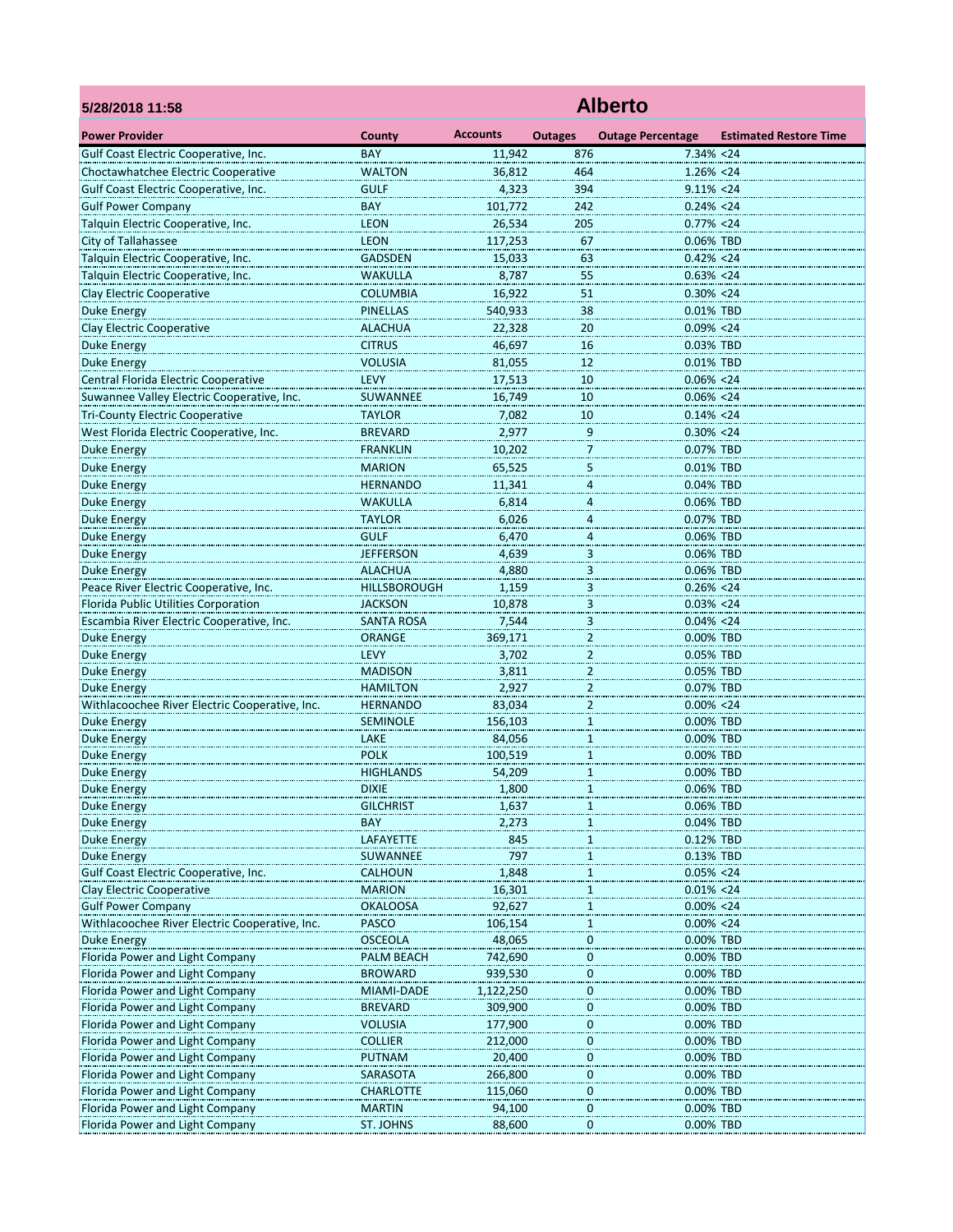| 5/28/2018 11:58                                | <b>Alberto</b>                  |                 |                                |                          |                               |  |  |  |
|------------------------------------------------|---------------------------------|-----------------|--------------------------------|--------------------------|-------------------------------|--|--|--|
| <b>Power Provider</b>                          | County                          | <b>Accounts</b> | <b>Outages</b>                 | <b>Outage Percentage</b> | <b>Estimated Restore Time</b> |  |  |  |
| Gulf Coast Electric Cooperative, Inc.          | <b>BAY</b>                      | 11,942          | 876                            | $7.34\% < 24$            |                               |  |  |  |
| Choctawhatchee Electric Cooperative            | <b>WALTON</b>                   | 36,812          | 464                            | $1.26\% < 24$            |                               |  |  |  |
| Gulf Coast Electric Cooperative, Inc.          | <b>GULF</b>                     | 4,323           | 394                            | $9.11\% < 24$            |                               |  |  |  |
| <b>Gulf Power Company</b>                      | <b>BAY</b>                      | 101,772         | 242                            | $0.24\% < 24$            |                               |  |  |  |
| Talquin Electric Cooperative, Inc.             | <b>LEON</b>                     | 26,534          | 205                            | $0.77\% < 24$            |                               |  |  |  |
| <b>City of Tallahassee</b>                     | <b>LEON</b>                     | 117,253         | 67                             | 0.06% TBD                |                               |  |  |  |
| Talquin Electric Cooperative, Inc.             | <b>GADSDEN</b>                  | 15,033          | 63                             | $0.42\% < 24$            |                               |  |  |  |
| Talquin Electric Cooperative, Inc.             | WAKULLA                         | 8,787           | 55                             | $0.63\% < 24$            |                               |  |  |  |
| Clay Electric Cooperative                      | <b>COLUMBIA</b>                 | 16,922          | 51                             | $0.30\% < 24$            |                               |  |  |  |
| <b>Duke Energy</b>                             | <b>PINELLAS</b>                 | 540,933         | 38                             | 0.01% TBD                |                               |  |  |  |
| <b>Clay Electric Cooperative</b>               | <b>ALACHUA</b>                  | 22,328          | 20                             | $0.09\% < 24$            |                               |  |  |  |
| <b>Duke Energy</b>                             | <b>CITRUS</b>                   | 46,697          | 16                             | 0.03% TBD                |                               |  |  |  |
| <b>Duke Energy</b>                             | <b>VOLUSIA</b>                  | 81,055          | 12                             | 0.01% TBD                |                               |  |  |  |
| Central Florida Electric Cooperative           | <b>LEVY</b>                     | 17,513          | 10                             | $0.06\% < 24$            |                               |  |  |  |
| Suwannee Valley Electric Cooperative, Inc.     | SUWANNEE                        | 16,749          | 10                             | $0.06\% < 24$            |                               |  |  |  |
| <b>Tri-County Electric Cooperative</b>         | <b>TAYLOR</b>                   | 7,082           | 10                             | $0.14\% < 24$            |                               |  |  |  |
| West Florida Electric Cooperative, Inc.        | <b>BREVARD</b>                  | 2,977           | 9<br>m.                        | $0.30\% < 24$            |                               |  |  |  |
| Duke Energy                                    | <b>FRANKLIN</b>                 | 10,202          | $\overline{7}$                 | 0.07% TBD                |                               |  |  |  |
| <b>Duke Energy</b>                             | <b>MARION</b>                   | 65,525          | 5                              | 0.01% TBD                |                               |  |  |  |
| Duke Energy                                    | <b>HERNANDO</b>                 | 11,341          | $\overline{4}$                 | 0.04% TBD                |                               |  |  |  |
| <b>Duke Energy</b>                             | <b>WAKULLA</b>                  | 6,814           | $\overline{4}$                 | 0.06% TBD                |                               |  |  |  |
| <b>Duke Energy</b>                             | <b>TAYLOR</b>                   | 6,026           | $\overline{4}$                 | 0.07% TBD                |                               |  |  |  |
| <b>Duke Energy</b>                             | <b>GULF</b>                     | 6,470           | 4                              | 0.06% TBD                |                               |  |  |  |
| <b>Duke Energy</b>                             | <b>JEFFERSON</b>                | 4,639           | 3                              | 0.06% TBD                |                               |  |  |  |
| <b>Duke Energy</b>                             | <b>ALACHUA</b>                  | 4,880           | $\overline{\mathbf{3}}$        | 0.06% TBD                |                               |  |  |  |
| Peace River Electric Cooperative, Inc.         | <b>HILLSBOROUGH</b>             | 1.159           | $\overline{\mathbf{3}}$        | $0.26\% < 24$            |                               |  |  |  |
| Florida Public Utilities Corporation           | <b>JACKSON</b>                  | 10,878          | 3                              | $0.03\% < 24$            |                               |  |  |  |
| Escambia River Electric Cooperative, Inc.      | <b>SANTA ROSA</b>               | 7,544           | 3                              | $0.04\% < 24$            |                               |  |  |  |
| Duke Energy                                    | <b>ORANGE</b>                   | 369,171         | $\overline{c}$                 | 0.00% TBD                |                               |  |  |  |
| <b>Duke Energy</b>                             | <b>LEVY</b>                     | 3,702           | $\overline{a}$                 | 0.05% TBD                |                               |  |  |  |
| <b>Duke Energy</b>                             | <b>MADISON</b>                  | 3,811           | $\overline{2}$                 | 0.05% TBD                |                               |  |  |  |
| <b>Duke Energy</b>                             | <b>HAMILTON</b>                 | 2,927           | $\overline{2}$                 | 0.07% TBD                |                               |  |  |  |
| Withlacoochee River Electric Cooperative, Inc. | <b>HERNANDO</b>                 | 83,034          | $\overline{2}$                 | $0.00\% < 24$            |                               |  |  |  |
| <b>Duke Energy</b>                             | <b>SEMINOLE</b>                 | 156,103         | 1                              | 0.00% TBD                |                               |  |  |  |
| <b>Duke Energy</b>                             | LAKE                            | 84,056          | $\mathbf{1}$                   | 0.00% TBD                |                               |  |  |  |
| <b>Duke Energy</b>                             | <b>POLK</b><br><b>HIGHLANDS</b> | 100,519         | $\mathbf{1}$                   | 0.00% TBD<br>0.00% TBD   |                               |  |  |  |
| <b>Duke Energy</b>                             | <b>DIXIE</b>                    | 54,209          | $\mathbf{1}$                   |                          |                               |  |  |  |
| Duke Energy<br><b>Duke Energy</b>              |                                 | 1,800<br>1,637  | 1<br>1                         | 0.06% TBD<br>0.06% TBD   |                               |  |  |  |
| <b>Duke Energy</b>                             | <b>GILCHRIST</b><br><b>BAY</b>  | 2,273           |                                | 0.04% TBD                |                               |  |  |  |
| <b>Duke Energy</b>                             | LAFAYETTE                       | 845             | $\overline{1}$<br>$\mathbf{1}$ | 0.12% TBD                |                               |  |  |  |
| Duke Energy                                    | SUWANNEE                        | 797             | $\mathbf{1}$                   | 0.13% TBD                |                               |  |  |  |
| <b>Gulf Coast Electric Cooperative, Inc.</b>   | CALHOUN                         | 1,848           | $\mathbf{1}$                   | $0.05\% < 24$            |                               |  |  |  |
| <b>Clay Electric Cooperative</b>               | <b>MARION</b>                   | 16,301          | $\mathbf{1}$                   | $0.01\% < 24$            |                               |  |  |  |
| <b>Gulf Power Company</b>                      | <b>OKALOOSA</b>                 | 92,627          | $\overline{1}$                 | $0.00\% < 24$            |                               |  |  |  |
| Withlacoochee River Electric Cooperative, Inc. | PASCO                           | 106,154         | $\mathbf{1}$                   | $0.00\% < 24$            |                               |  |  |  |
| <b>Duke Energy</b>                             | <b>OSCEOLA</b>                  | 48,065          | $\bf{0}$                       | 0.00% TBD                |                               |  |  |  |
| Florida Power and Light Company                | PALM BEACH                      | 742,690         | 0                              | 0.00% TBD                |                               |  |  |  |
| Florida Power and Light Company                | <b>BROWARD</b>                  | 939,530         | 0                              | 0.00% TBD                |                               |  |  |  |
| Florida Power and Light Company                | MIAMI-DADE                      | 1,122,250       | $\overline{0}$                 | 0.00% TBD                |                               |  |  |  |
| Florida Power and Light Company                | <b>BREVARD</b>                  | 309,900         | $\overline{0}$                 | 0.00% TBD                |                               |  |  |  |
| Florida Power and Light Company                | <b>VOLUSIA</b>                  | 177,900         | $\bf{0}$                       | 0.00% TBD                |                               |  |  |  |
| Florida Power and Light Company                | <b>COLLIER</b>                  | 212,000         | 0                              | 0.00% TBD                |                               |  |  |  |
| Florida Power and Light Company                | PUTNAM                          | 20,400          | 0                              | 0.00% TBD                |                               |  |  |  |
| Florida Power and Light Company                | SARASOTA                        | 266,800         | $\overline{0}$                 | 0.00% TBD                |                               |  |  |  |
| Florida Power and Light Company                | <b>CHARLOTTE</b>                | 115,060         | $\pmb{0}$                      | 0.00% TBD                |                               |  |  |  |
| Florida Power and Light Company                | <b>MARTIN</b>                   | 94,100          | $\bf{0}$                       | 0.00% TBD                |                               |  |  |  |
| Florida Power and Light Company                | ST. JOHNS                       | 88,600          | 0                              | 0.00% TBD                |                               |  |  |  |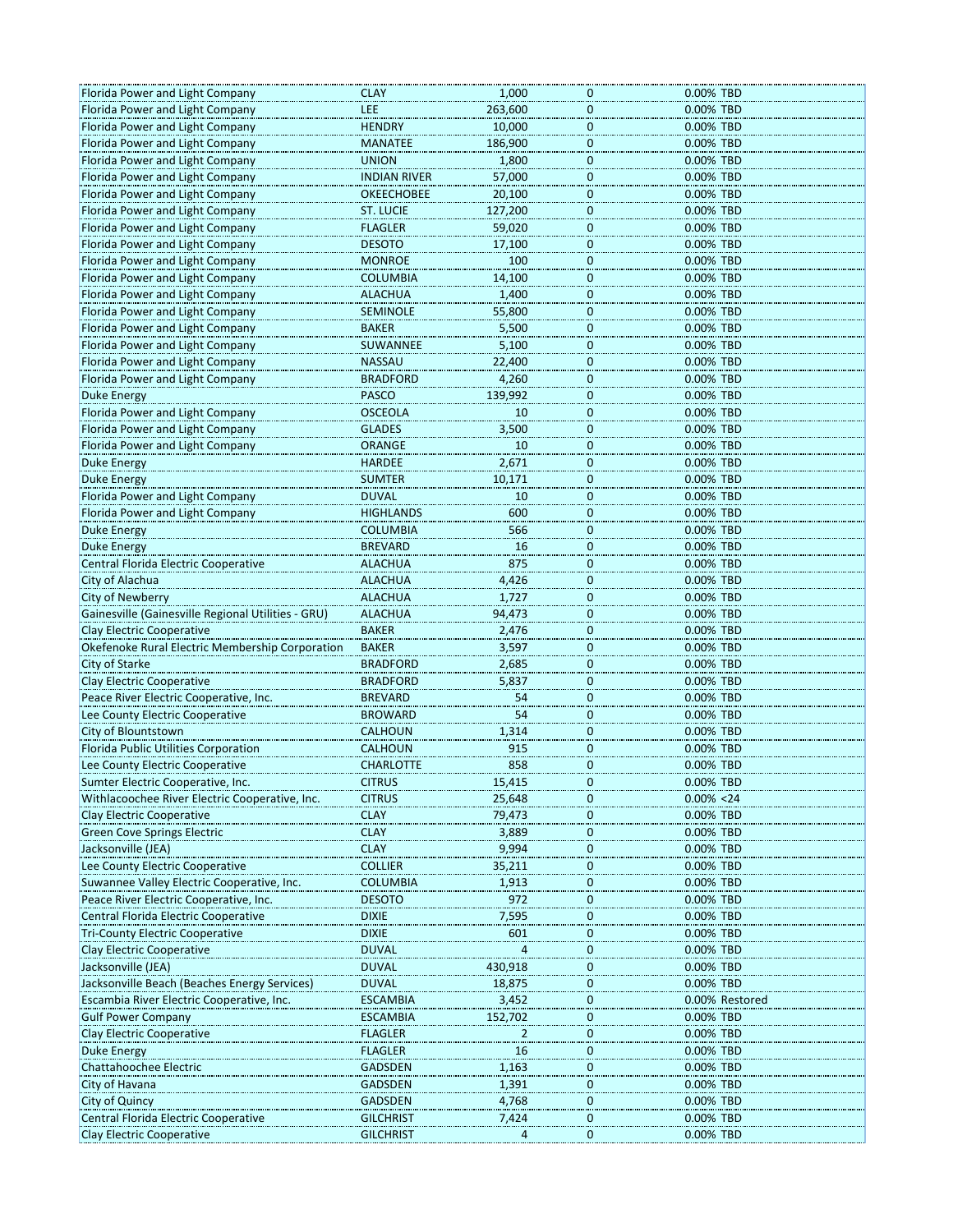| Florida Power and Light Company                    | <b>CLAY</b>                          | 1,000   | 0.00% TBD<br>0                |
|----------------------------------------------------|--------------------------------------|---------|-------------------------------|
| Florida Power and Light Company                    | LEE                                  | 263,600 | $\bf{0}$<br>0.00% TBD         |
| Florida Power and Light Company                    | <b>HENDRY</b>                        | 10,000  | $\mathbf 0$<br>0.00% TBD      |
| Florida Power and Light Company                    | <b>MANATEE</b>                       | 186,900 | $\mathbf 0$<br>0.00% TBD      |
| Florida Power and Light Company                    | <b>UNION</b>                         | 1,800   | 0.00% TBD<br>$\bf{0}$         |
|                                                    |                                      |         |                               |
| Florida Power and Light Company                    | <b>INDIAN RIVER</b>                  | 57,000  | 0.00% TBD<br>0                |
| Florida Power and Light Company                    | <b>OKEECHOBEE</b>                    | 20,100  | $\bf{0}$<br>0.00% TBD         |
| Florida Power and Light Company                    | <b>ST. LUCIE</b>                     | 127,200 | $\mathbf 0$<br>0.00% TBD      |
| Florida Power and Light Company                    | <b>FLAGLER</b>                       | 59,020  | $\mathbf 0$<br>0.00% TBD      |
| Florida Power and Light Company                    | <b>DESOTO</b>                        | 17,100  | $\bf{0}$<br>0.00% TBD         |
|                                                    |                                      |         |                               |
| Florida Power and Light Company                    | <b>MONROE</b>                        | 100     | 0<br>0.00% TBD                |
| Florida Power and Light Company                    | <b>COLUMBIA</b>                      | 14,100  | $\bf{0}$<br>0.00% TBD         |
| Florida Power and Light Company                    | <b>ALACHUA</b>                       | 1,400   | $\bf{0}$<br>0.00% TBD         |
| Florida Power and Light Company                    | <b>SEMINOLE</b>                      | 55,800  | $\mathbf 0$<br>0.00% TBD      |
| Florida Power and Light Company                    | <b>BAKER</b>                         | 5,500   | 0.00% TBD<br>$\bf{0}$         |
| Florida Power and Light Company                    | SUWANNEE                             |         | $\mathbf 0$<br>0.00% TBD      |
|                                                    |                                      | 5,100   |                               |
| Florida Power and Light Company                    | <b>NASSAU</b>                        | 22,400  | $\overline{0}$<br>0.00% TBD   |
| Florida Power and Light Company                    | <b>BRADFORD</b>                      | 4,260   | $\bf{0}$<br>0.00% TBD         |
| Duke Energy                                        | <b>PASCO</b>                         | 139,992 | $\mathbf 0$<br>0.00% TBD      |
| Florida Power and Light Company                    | <b>OSCEOLA</b>                       | 10      | $\bf{0}$<br>0.00% TBD         |
| Florida Power and Light Company                    | <b>GLADES</b>                        | 3,500   | $\bf{0}$<br>0.00% TBD         |
|                                                    |                                      |         |                               |
| Florida Power and Light Company                    | <b>ORANGE</b>                        | 10      | $\bf{0}$<br>0.00% TBD         |
| <b>Duke Energy</b>                                 | <b>HARDEE</b>                        | 2,671   | $\bf{0}$<br>0.00% TBD         |
| <b>Duke Energy</b>                                 | <b>SUMTER</b>                        | 10,171  | $\mathbf 0$<br>0.00% TBD      |
| Florida Power and Light Company                    | <b>DUVAL</b>                         | 10      | 0.00% TBD<br>$\bf{0}$         |
| Florida Power and Light Company                    | <b>HIGHLANDS</b>                     | 600     | $\mathbf 0$<br>0.00% TBD      |
|                                                    |                                      | 566     | $\mathbf 0$<br>0.00% TBD      |
| Duke Energy                                        | <b>COLUMBIA</b>                      |         |                               |
| <b>Duke Energy</b>                                 | <b>BREVARD</b>                       | 16      | $\mathbf 0$<br>0.00% TBD      |
| Central Florida Electric Cooperative               | <b>ALACHUA</b>                       | 875     | $\mathbf 0$<br>0.00% TBD      |
| City of Alachua                                    | <b>ALACHUA</b>                       | 4,426   | $\bf{0}$<br>0.00% TBD         |
| City of Newberry                                   | <b>ALACHUA</b>                       | 1,727   | $\mathbf 0$<br>0.00% TBD      |
| Gainesville (Gainesville Regional Utilities - GRU) | <b>ALACHUA</b>                       | 94,473  | $\overline{0}$<br>0.00% TBD   |
|                                                    |                                      |         |                               |
| Clay Electric Cooperative                          | <b>BAKER</b>                         | 2,476   | $\bf{0}$<br>0.00% TBD         |
| Okefenoke Rural Electric Membership Corporation    | <b>BAKER</b>                         | 3,597   | $\bf{0}$<br>0.00% TBD         |
| City of Starke                                     | <b>BRADFORD</b>                      | 2,685   | $\pmb{0}$<br>0.00% TBD        |
| Clay Electric Cooperative                          | <b>BRADFORD</b>                      | 5,837   | $\mathbf 0$<br>0.00% TBD      |
| Peace River Electric Cooperative, Inc.             | <b>BREVARD</b>                       | 54      | 0<br>0.00% TBD                |
| Lee County Electric Cooperative                    | <b>BROWARD</b>                       | 54      | $\bf{0}$<br>0.00% TBD         |
|                                                    |                                      |         |                               |
| City of Blountstown                                | CALHOUN                              | 1,314   | $\bf{0}$<br>0.00% TBD         |
| Florida Public Utilities Corporation               | <b>CALHOUN</b>                       | 915     | 0.00% TBD<br>$\mathbf 0$      |
| Lee County Electric Cooperative                    | <b>CHARLOTTE</b>                     | 858     | $\mathbf 0$<br>0.00% TBD      |
| Sumter Electric Cooperative, Inc.                  | <b>CITRUS</b>                        | 15,415  | U<br>0.00% TBD                |
| Withlacoochee River Electric Cooperative, Inc.     | <b>CITRUS</b>                        | 25,648  | $0.00\% < 24$<br>0            |
| <b>Clay Electric Cooperative</b>                   | <b>CLAY</b>                          | 79,473  | 0.00% TBD<br>$\mathbf 0$      |
|                                                    |                                      |         |                               |
| <b>Green Cove Springs Electric</b>                 | <b>CLAY</b>                          | 3,889   | $\mathbf 0$<br>0.00% TBD      |
| Jacksonville (JEA)                                 | <b>CLAY</b>                          | 9,994   | $\mathbf 0$<br>0.00% TBD      |
| Lee County Electric Cooperative                    | <b>COLLIER</b>                       | 35,211  | 0.00% TBD<br>0                |
| Suwannee Valley Electric Cooperative, Inc.         | <b>COLUMBIA</b>                      | 1,913   | 0.00% TBD<br>$\bf{0}$         |
| Peace River Electric Cooperative, Inc.             | <b>DESOTO</b>                        | 972     | $\mathbf 0$<br>0.00% TBD      |
| Central Florida Electric Cooperative               | <b>DIXIE</b>                         | 7,595   | 0.00% TBD<br>$\mathbf 0$      |
|                                                    |                                      |         |                               |
| <b>Tri-County Electric Cooperative</b>             | <b>DIXIE</b>                         | 601     | $\mathbf 0$<br>0.00% TBD      |
| Clay Electric Cooperative                          | <b>DUVAL</b>                         | 4       | 0.00% TBD<br>0                |
| Jacksonville (JEA)                                 | <b>DUVAL</b>                         | 430,918 | 0.00% TBD<br>$\bf{0}$         |
| Jacksonville Beach (Beaches Energy Services)       | <b>DUVAL</b>                         | 18,875  | $\mathbf 0$<br>0.00% TBD      |
| Escambia River Electric Cooperative, Inc.          | <b>ESCAMBIA</b>                      | 3,452   | $\mathbf 0$<br>0.00% Restored |
| <b>Gulf Power Company</b>                          |                                      |         | $\mathbf 0$<br>0.00% TBD      |
|                                                    | <b>ESCAMBIA</b>                      | 152,702 |                               |
| <b>Clay Electric Cooperative</b>                   | <b>FLAGLER</b>                       | 2       | 0.00% TBD<br>0                |
| <b>Duke Energy</b>                                 | <b>FLAGLER</b>                       | 16      | 0.00% TBD<br>$\bf{0}$         |
| Chattahoochee Electric                             | <b>GADSDEN</b>                       | 1,163   | 0.00% TBD<br>$\mathbf 0$      |
| City of Havana                                     | <b>GADSDEN</b>                       | 1,391   | 0.00% TBD<br>$\mathbf 0$      |
| <b>City of Quincy</b>                              | <b>GADSDEN</b>                       | 4,768   | $\mathbf 0$<br>0.00% TBD      |
|                                                    |                                      |         |                               |
| Central Florida Electric Cooperative               | <b>GILCHRIST</b><br><b>GILCHRIST</b> | 7,424   | 0.00% TBD<br>0<br>0.00% TBD   |
| <b>Clay Electric Cooperative</b>                   |                                      |         | 0                             |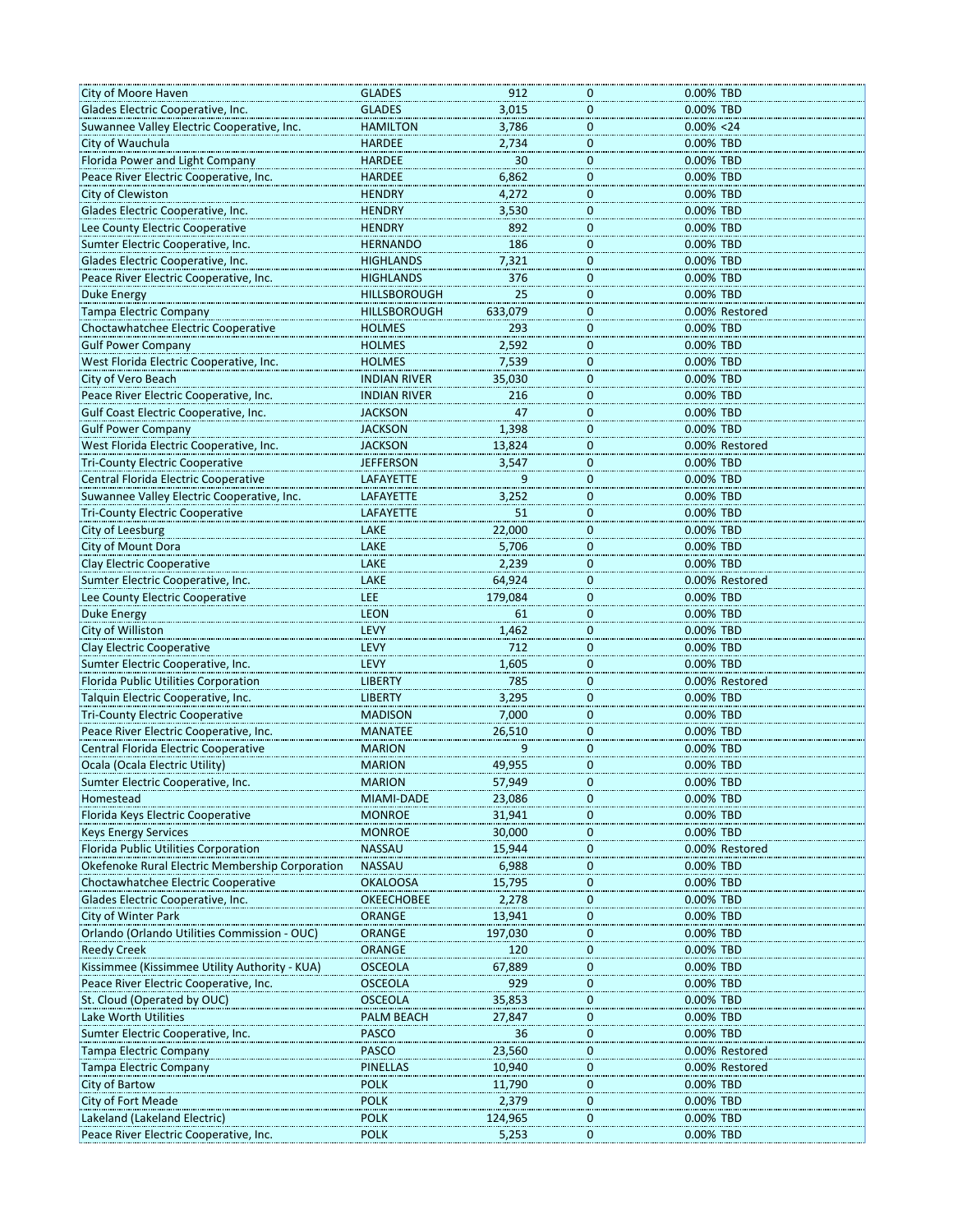| City of Moore Haven                             | <b>GLADES</b>       | 912     | 0                | 0.00% TBD      |
|-------------------------------------------------|---------------------|---------|------------------|----------------|
| Glades Electric Cooperative, Inc.               | <b>GLADES</b>       | 3,015   | $\bf{0}$         | 0.00% TBD      |
| Suwannee Valley Electric Cooperative, Inc.      | <b>HAMILTON</b>     | 3,786   | $\bf{0}$         | $0.00\% < 24$  |
| City of Wauchula                                | <b>HARDEE</b>       | 2,734   | $\mathbf 0$      | 0.00% TBD      |
| Florida Power and Light Company                 | <b>HARDEE</b>       | 30      | $\mathbf 0$      | 0.00% TBD      |
|                                                 | <b>HARDEE</b>       |         |                  |                |
| Peace River Electric Cooperative, Inc.          |                     | 6,862   | $\mathbf 0$      | 0.00% TBD      |
| City of Clewiston                               | <b>HENDRY</b>       | 4,272   | $\bf{0}$         | 0.00% TBD      |
| Glades Electric Cooperative, Inc.               | <b>HENDRY</b>       | 3,530   | $\mathbf 0$      | 0.00% TBD      |
| Lee County Electric Cooperative                 | <b>HENDRY</b>       | 892     | $\mathbf 0$      | 0.00% TBD      |
| Sumter Electric Cooperative, Inc.               | <b>HERNANDO</b>     | 186     | $\bf{0}$         | 0.00% TBD      |
| Glades Electric Cooperative, Inc.               | HIGHLANDS           | 7,321   | $\bf{0}$         | 0.00% TBD      |
| Peace River Electric Cooperative, Inc.          | <b>HIGHLANDS</b>    | 376     | 0                | 0.00% TBD      |
| <b>Duke Energy</b>                              | HILLSBOROUGH        | 25      | $\overline{0}$   | 0.00% TBD      |
| <b>Tampa Electric Company</b>                   | <b>HILLSBOROUGH</b> | 633,079 | $\mathbf 0$      | 0.00% Restored |
| Choctawhatchee Electric Cooperative             | <b>HOLMES</b>       | 293     | $\mathbf 0$      | 0.00% TBD      |
|                                                 |                     | 2,592   | $\mathbf 0$      |                |
| <b>Gulf Power Company</b>                       | <b>HOLMES</b>       |         |                  | 0.00% TBD      |
| West Florida Electric Cooperative, Inc.         | <b>HOLMES</b>       | 7,539   | $\bf{0}$         | 0.00% TBD      |
| City of Vero Beach                              | <b>INDIAN RIVER</b> | 35,030  | $\overline{0}$   | 0.00% TBD      |
| Peace River Electric Cooperative, Inc.          | <b>INDIAN RIVER</b> | 216     | $\mathbf 0$      | 0.00% TBD      |
| Gulf Coast Electric Cooperative, Inc.           | <b>JACKSON</b>      | 47      | $\bf{0}$         | 0.00% TBD      |
| <b>Gulf Power Company</b>                       | <b>JACKSON</b>      | 1,398   | $\bf{0}$         | 0.00% TBD      |
| West Florida Electric Cooperative, Inc.         | JACKSON             | 13,824  | 0                | 0.00% Restored |
| <b>Tri-County Electric Cooperative</b>          | <b>JEFFERSON</b>    | 3,547   | $\overline{0}$   | 0.00% TBD      |
| Central Florida Electric Cooperative            | LAFAYETTE           | 9       | $\mathbf 0$      | 0.00% TBD      |
| Suwannee Valley Electric Cooperative, Inc.      | LAFAYETTE           | 3,252   | $\mathbf 0$      | 0.00% TBD      |
|                                                 |                     |         |                  |                |
| <b>Tri-County Electric Cooperative</b>          | <b>LAFAYETTE</b>    | 51      | $\mathbf 0$      | 0.00% TBD      |
| City of Leesburg                                | LAKE                | 22,000  | 0                | 0.00% TBD      |
| City of Mount Dora                              | LAKE                | 5,706   | $\mathbf 0$      | 0.00% TBD      |
| <b>Clay Electric Cooperative</b>                | LAKE                | 2,239   | $\mathbf 0$      | 0.00% TBD      |
| Sumter Electric Cooperative, Inc.               | LAKE                | 64,924  | $\mathbf 0$      | 0.00% Restored |
| Lee County Electric Cooperative                 | LEE                 | 179,084 | $\bf{0}$         | 0.00% TBD      |
| <b>Duke Energy</b>                              | <b>LEON</b>         | 61      | $\bf{0}$         | 0.00% TBD      |
| City of Williston                               | LEVY                | 1,462   | $\mathbf 0$      | 0.00% TBD      |
| Clay Electric Cooperative                       | LEVY                | 712     | $\mathbf 0$      | 0.00% TBD      |
| Sumter Electric Cooperative, Inc.               | LEVY                | 1,605   | $\mathbf 0$      | 0.00% TBD      |
| Florida Public Utilities Corporation            | <b>LIBERTY</b>      | 785     | $\mathbf 0$      | 0.00% Restored |
|                                                 |                     |         |                  |                |
| Talquin Electric Cooperative, Inc.              | <b>LIBERTY</b>      | 3,295   | $\bf{0}$         | 0.00% TBD      |
| <b>Tri-County Electric Cooperative</b>          | <b>MADISON</b>      | 7,000   | $\overline{0}$   | 0.00% TBD      |
| Peace River Electric Cooperative, Inc.          | <b>MANATEE</b>      | 26,510  | $\mathbf 0$      | 0.00% TBD      |
| Central Florida Electric Cooperative            | <b>MARION</b>       | 9       | $\mathbf 0$      | 0.00% TBD      |
| Ocala (Ocala Electric Utility)                  | <b>MARION</b>       | 49,955  | $\mathbf 0$      | 0.00% TBD      |
| Sumter Electric Cooperative, Inc.               | <b>MARION</b>       | 57,949  | 0                | 0.00% TBD      |
| Homestead                                       | MIAMI-DADE          | 23,086  | $\mathbf 0$      | 0.00% TBD      |
| Florida Keys Electric Cooperative               | <b>MONROE</b>       | 31,941  | $\mathbf 0$      | 0.00% TBD      |
| <b>Keys Energy Services</b>                     | <b>MONROE</b>       | 30,000  | $\bf{0}$         | 0.00% TBD      |
| Florida Public Utilities Corporation            | <b>NASSAU</b>       | 15,944  | $\bf{0}$         | 0.00% Restored |
| Okefenoke Rural Electric Membership Corporation | NASSAU              | 6,988   | 0                | 0.00% TBD      |
| Choctawhatchee Electric Cooperative             | <b>OKALOOSA</b>     | 15,795  | 0                | 0.00% TBD      |
|                                                 |                     |         |                  |                |
| Glades Electric Cooperative, Inc.               | <b>OKEECHOBEE</b>   | 2,278   | $\overline{0}$   | 0.00% TBD      |
| City of Winter Park                             | ORANGE              | 13,941  | $\pmb{0}$        | 0.00% TBD      |
| Orlando (Orlando Utilities Commission - OUC)    | ORANGE              | 197,030 | $\mathbf 0$      | 0.00% TBD      |
| <b>Reedy Creek</b>                              | <b>ORANGE</b>       | 120     | 0                | 0.00% TBD      |
| Kissimmee (Kissimmee Utility Authority - KUA)   | <b>OSCEOLA</b>      | 67,889  | $\boldsymbol{0}$ | 0.00% TBD      |
| Peace River Electric Cooperative, Inc.          | <b>OSCEOLA</b>      | 929     | $\bf{0}$         | 0.00% TBD      |
| St. Cloud (Operated by OUC)                     | <b>OSCEOLA</b>      | 35,853  | $\bf{0}$         | 0.00% TBD      |
| Lake Worth Utilities                            | PALM BEACH          | 27,847  | $\bf{0}$         | 0.00% TBD      |
| Sumter Electric Cooperative, Inc.               | <b>PASCO</b>        | 36      | 0                | 0.00% TBD      |
| Tampa Electric Company                          | <b>PASCO</b>        | 23,560  | 0                | 0.00% Restored |
| <b>Tampa Electric Company</b>                   | <b>PINELLAS</b>     | 10,940  | $\bf{0}$         | 0.00% Restored |
| City of Bartow                                  | <b>POLK</b>         | 11,790  | $\bf{0}$         | 0.00% TBD      |
|                                                 |                     |         |                  |                |
| <b>City of Fort Meade</b>                       | <b>POLK</b>         | 2,379   | $\bf{0}$         | 0.00% TBD      |
| Lakeland (Lakeland Electric)                    | <b>POLK</b>         | 124,965 | 0                | 0.00% TBD      |
| Peace River Electric Cooperative, Inc.          | <b>POLK</b>         | 5,253   | 0                | 0.00% TBD      |